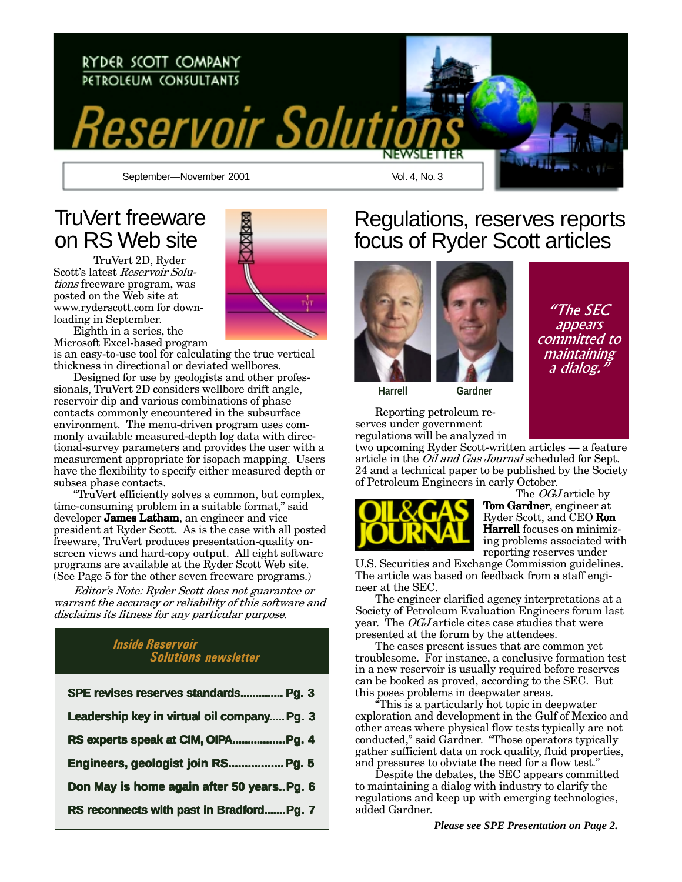

## **TruVert freeware** on RS Web site

TruVert 2D, Ryder Scott's latest Reservoir Solu*tions* freeware program, was posted on the Web site at www.ryderscott.com for downloading in September.

Eighth in a series, the Microsoft Excel-based program is an easy-to-use tool for calculating the true vertical

thickness in directional or deviated wellbores. Designed for use by geologists and other professionals, TruVert 2D considers wellbore drift angle, reservoir dip and various combinations of phase contacts commonly encountered in the subsurface environment. The menu-driven program uses commonly available measured-depth log data with directional-survey parameters and provides the user with a measurement appropriate for isopach mapping. Users have the flexibility to specify either measured depth or subsea phase contacts.

"TruVert efficiently solves a common, but complex, time-consuming problem in a suitable format," said developer **James Latham**, an engineer and vice president at Ryder Scott. As is the case with all posted freeware, TruVert produces presentation-quality onscreen views and hard-copy output. All eight software programs are available at the Ryder Scott Web site. (See Page 5 for the other seven freeware programs.)

Editor's Note: Ryder Scott does not guarantee or warrant the accuracy or reliability of this software and disclaims its fitness for any particular purpose.

### **Inside Reservoir Solutions newsletter**

| SPE revises reserves standards Pg. 3        |
|---------------------------------------------|
| Leadership key in virtual oil company Pg. 3 |
| RS experts speak at CIM, OIPAPg. 4          |
| Engineers, geologist join RS Pg. 5          |
| Don May is home again after 50 yearsPg. 6   |
| RS reconnects with past in BradfordPg. 7    |



## Regulations, reserves reports focus of Ryder Scott articles



"The SEC appears committed to maintaining a dialog.

**Harrell** 

Reporting petroleum reserves under government regulations will be analyzed in

two upcoming Ryder Scott-written articles - a feature article in the *Oil and Gas Journal* scheduled for Sept. 24 and a technical paper to be published by the Society of Petroleum Engineers in early October.

Gardner



The *OGJ* article by **Tom Gardner**. engineer at Ryder Scott, and CEO Ron **Harrell** focuses on minimizing problems associated with reporting reserves under

U.S. Securities and Exchange Commission guidelines. The article was based on feedback from a staff engineer at the SEC.

The engineer clarified agency interpretations at a Society of Petroleum Evaluation Engineers forum last year. The *OGJ* article cites case studies that were presented at the forum by the attendees.

The cases present issues that are common yet troublesome. For instance, a conclusive formation test in a new reservoir is usually required before reserves can be booked as proved, according to the SEC. But this poses problems in deepwater areas.

This is a particularly hot topic in deepwater exploration and development in the Gulf of Mexico and other areas where physical flow tests typically are not conducted," said Gardner. "Those operators typically gather sufficient data on rock quality, fluid properties, and pressures to obviate the need for a flow test."

Despite the debates, the SEC appears committed to maintaining a dialog with industry to clarify the regulations and keep up with emerging technologies, added Gardner.

Please see SPE Presentation on Page 2.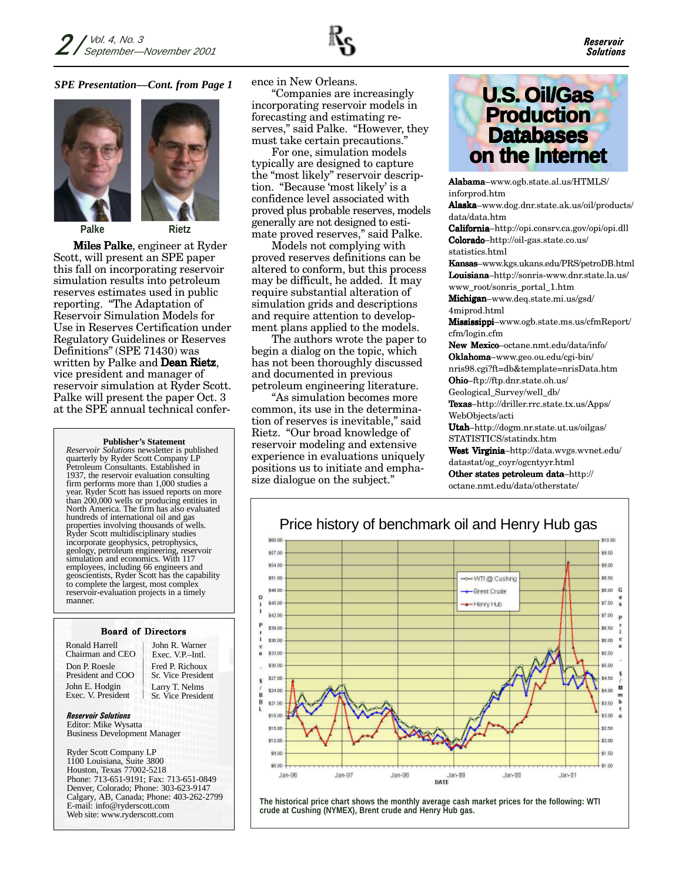

#### *SPE Presentation—Cont. from Page 1*





**Miles Palke**, engineer at Ryder Scott, will present an SPE paper this fall on incorporating reservoir simulation results into petroleum reserves estimates used in public reporting. "The Adaptation of Reservoir Simulation Models for Use in Reserves Certification under Regulatory Guidelines or Reserves Definitions" (SPE 71430) was written by Palke and **Dean Rietz**, vice president and manager of reservoir simulation at Ryder Scott. Palke will present the paper Oct. 3 at the SPE annual technical confer-

#### **Publisher's Statement**

*Reservoir Solutions* newsletter is published quarterly by Ryder Scott Company LP Petroleum Consultants. Established in 1937, the reservoir evaluation consulting firm performs more than 1,000 studies a year. Ryder Scott has issued reports on more than 200,000 wells or producing entities in North America. The firm has also evaluated hundreds of international oil and gas properties involving thousands of wells. Ryder Scott multidisciplinary studies incorporate geophysics, petrophysics, geology, petroleum engineering, reservoir simulation and economics. With 117 employees, including 66 engineers and geoscientists, Ryder Scott has the capability to complete the largest, most complex reservoir-evaluation projects in a timely manner.

#### Board of Directors

Ronald Harrell Chairman and CEO Don P. Roesle President and COO John E. Hodgin Exec. V. President

Fred P. Richoux Sr. Vice President John R. Warner Exec. V.P.–Intl. Larry T. Nelms Sr. Vice President

**Reservoir Solutions** Editor: Mike Wysatta Business Development Manager

Ryder Scott Company LP 1100 Louisiana, Suite 3800 Houston, Texas 77002-5218 Phone: 713-651-9191; Fax: 713-651-0849 Denver, Colorado; Phone: 303-623-9147 Calgary, AB, Canada; Phone: 403-262-2799 E-mail: info@ryderscott.com Web site: www.ryderscott.com

ence in New Orleans.

"Companies are increasingly incorporating reservoir models in forecasting and estimating reserves," said Palke. "However, they must take certain precautions."

For one, simulation models typically are designed to capture the "most likely" reservoir description. "Because 'most likely' is a confidence level associated with proved plus probable reserves, models generally are not designed to estimate proved reserves," said Palke.

Models not complying with proved reserves definitions can be altered to conform, but this process may be difficult, he added. It may require substantial alteration of simulation grids and descriptions and require attention to development plans applied to the models.

The authors wrote the paper to begin a dialog on the topic, which has not been thoroughly discussed and documented in previous petroleum engineering literature.

 $A$ s simulation becomes more common, its use in the determination of reserves is inevitable," said Rietz. "Our broad knowledge of reservoir modeling and extensive experience in evaluations uniquely positions us to initiate and emphasize dialogue on the subject."



Alabama-www.ogb.state.al.us/HTMLS/  $_{\rm inform}$ Alaska–www.dog.dnr.state.ak.us/oil/products/ data/data.htm California-http://opi.consrv.ca.gov/opi/opi.dll **Colorado**-http://oil-gas.state.co.us/ statistics.html **Kansas**–www.kgs.ukans.edu/PRS/petroDB.html Louisiana–http://sonris-www.dnr.state.la.us/ www\_root/sonris\_portal\_1.htm Michigan-www.deq.state.mi.us/gsd/  $4miprod.html$ Mississippi–www.ogb.state.ms.us/cfmReport/ cfm/login.cfm New Mexico-octane.nmt.edu/data/info/ Oklahoma-www.geo.ou.edu/cgi-bin/ nris98.cgi?ft=db&template=nrisData.htm

**Ohio**–ftp://ftp.dnr.state.oh.us/ Geological\_Survey/well\_db/ Texas-http://driller.rrc.state.tx.us/Apps/

WebObjects/acti

**Utah**–http://dogm.nr.state.ut.us/oilgas/ STATISTICS/statindx.htm

**West Virginia**–http://data.wvgs.wvnet.edu/ datastat/og\_coyr/ogcntyyr.html

Other states petroleum data $-$ http:// octane.nmt.edu/data/otherstate/



**The historical price chart shows the monthly average cash market prices for the following: WTI crude at Cushing (NYMEX), Brent crude and Henry Hub gas.**

### Price history of benchmark oil and Henry Hub gas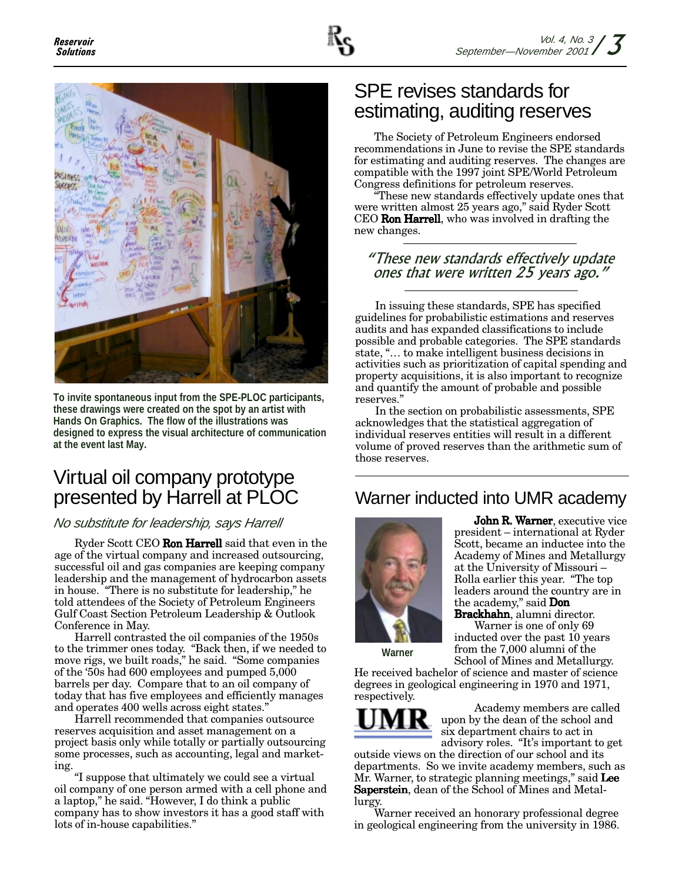

**To invite spontaneous input from the SPE-PLOC participants, these drawings were created on the spot by an artist with Hands On Graphics. The flow of the illustrations was designed to express the visual architecture of communication at the event last May.**

## Virtual oil company prototype presented by Harrell at PLOC

### No substitute for leadership, says Harrell )-

Ryder Scott CEO **Ron Harrell** said that even in the age of the virtual company and increased outsourcing, successful oil and gas companies are keeping company leadership and the management of hydrocarbon assets in house. "There is no substitute for leadership," he told attendees of the Society of Petroleum Engineers Gulf Coast Section Petroleum Leadership & Outlook Conference in May.

Harrell contrasted the oil companies of the 1950s to the trimmer ones today. "Back then, if we needed to move rigs, we built roads," he said. "Some companies of the '50s had 600 employees and pumped 5,000 barrels per day. Compare that to an oil company of today that has five employees and efficiently manages and operates 400 wells across eight states."

Harrell recommended that companies outsource reserves acquisition and asset management on a project basis only while totally or partially outsourcing some processes, such as accounting, legal and marketing

"I suppose that ultimately we could see a virtual oil company of one person armed with a cell phone and a laptop," he said. "However, I do think a public company has to show investors it has a good staff with lots of in-house capabilities."

## SPE revises standards for estimating, auditing reserves

The Society of Petroleum Engineers endorsed recommendations in June to revise the SPE standards for estimating and auditing reserves. The changes are compatible with the 1997 joint SPE/World Petroleum Congress definitions for petroleum reserves.

"These new standards effectively update ones that were written almost 25 years ago," said Ryder Scott CEO **Ron Harrell**, who was involved in drafting the new changes.

### "These new standards effectively update ones that were written 25 years ago."

In issuing these standards, SPE has specified guidelines for probabilistic estimations and reserves audits and has expanded classifications to include possible and probable categories. The SPE standards state, "... to make intelligent business decisions in activities such as prioritization of capital spending and property acquisitions, it is also important to recognize and quantify the amount of probable and possible reserves."

In the section on probabilistic assessments, SPE acknowledges that the statistical aggregation of individual reserves entities will result in a different volume of proved reserves than the arithmetic sum of those reserves.

### Warner inducted into UMR academy



**arner**, executive vice president – international at Ryder Scott, became an inductee into the Academy of Mines and Metallurgy at the University of Missouri – Rolla earlier this year. "The top leaders around the country are in the academy," said **Don** 

**Brackhahn**, alumni director. Warner is one of only 69 inducted over the past 10 years from the 7,000 alumni of the

**Warner**

School of Mines and Metallurgy. He received bachelor of science and master of science degrees in geological engineering in 1970 and 1971, respectively.



Academy members are called upon by the dean of the school and six department chairs to act in

advisory roles. "It's important to get outside views on the direction of our school and its departments. So we invite academy members, such as Mr. Warner, to strategic planning meetings," said **Lee Saperstein**, dean of the School of Mines and Metallurgy.

Warner received an honorary professional degree in geological engineering from the university in 1986.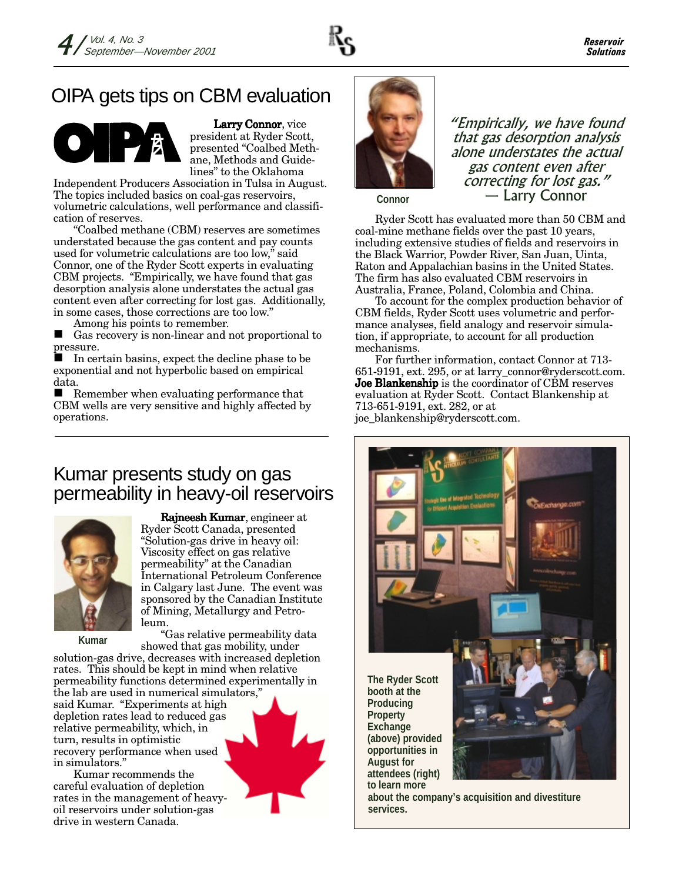

# OIPA gets tips on CBM evaluation



Larry Connor, vice president at Ryder Scott, presented "Coalbed Methane, Methods and Guidelines" to the Oklahoma

Independent Producers Association in Tulsa in August. The topics included basics on coal-gas reservoirs, volumetric calculations, well performance and classification of reserves.

"Coalbed methane (CBM) reserves are sometimes understated because the gas content and pay counts used for volumetric calculations are too low," said Connor, one of the Ryder Scott experts in evaluating CBM projects. "Empirically, we have found that gas desorption analysis alone understates the actual gas content even after correcting for lost gas. Additionally, in some cases, those corrections are too low."

Among his points to remember.

■ Gas recovery is non-linear and not proportional to pressure.

■ In certain basins, expect the decline phase to be exponential and not hyperbolic based on empirical data.

Remember when evaluating performance that CBM wells are very sensitive and highly affected by operations.

### Kumar presents study on gas permeability in heavy-oil reservoirs



**Rajneesh Kumar**, engineer at Ryder Scott Canada, presented "Solution-gas drive in heavy oil: Viscosity effect on gas relative permeability" at the Canadian International Petroleum Conference in Calgary last June. The event was sponsored by the Canadian Institute of Mining, Metallurgy and Petroleum.

**Kumar**

"Gas relative permeability data showed that gas mobility, under solution-gas drive, decreases with increased depletion rates. This should be kept in mind when relative permeability functions determined experimentally in the lab are used in numerical simulators," said Kumar. "Experiments at high depletion rates lead to reduced gas relative permeability, which, in turn, results in optimistic recovery performance when used in simulators."

Kumar recommends the careful evaluation of depletion rates in the management of heavyoil reservoirs under solution-gas drive in western Canada.



"Empirically, we have found that gas desorption analysis alone understates the actual gas content even after correcting for lost gas." - Larry Connor

**Connor**

Ryder Scott has evaluated more than 50 CBM and coal-mine methane fields over the past 10 years, including extensive studies of fields and reservoirs in the Black Warrior, Powder River, San Juan, Uinta, Raton and Appalachian basins in the United States. The firm has also evaluated CBM reservoirs in Australia, France, Poland, Colombia and China.

To account for the complex production behavior of CBM fields, Ryder Scott uses volumetric and performance analyses, field analogy and reservoir simulation, if appropriate, to account for all production mechanisms.

For further information, contact Connor at 713-651-9191, ext. 295, or at larry\_connor@ryderscott.com. Joe Blankenship is the coordinator of CBM reserves evaluation at Ryder Scott. Contact Blankenship at 713-651-9191, ext. 282, or at joe\_blankenship@ryderscott.com.



**to learn more about the company's acquisition and divestiture services.**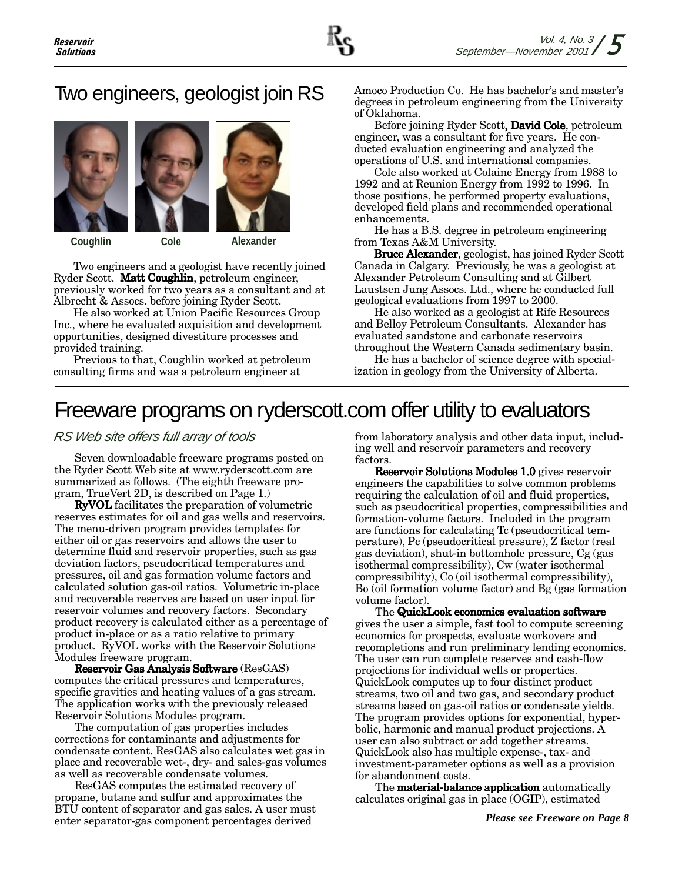# Two engineers, geologist join RS





Coughlin

Alexander

Two engineers and a geologist have recently joined Ryder Scott. **Matt Coughlin**, petroleum engineer, previously worked for two years as a consultant and at Albrecht & Assocs. before joining Ryder Scott.

Cole

He also worked at Union Pacific Resources Group Inc., where he evaluated acquisition and development opportunities, designed divestiture processes and provided training.

Previous to that, Coughlin worked at petroleum consulting firms and was a petroleum engineer at

Amoco Production Co. He has bachelor's and master's degrees in petroleum engineering from the University of Oklahoma.

Before joining Ryder Scott, **David Cole**, petroleum engineer, was a consultant for five years. He conducted evaluation engineering and analyzed the operations of U.S. and international companies.

Cole also worked at Colaine Energy from 1988 to 1992 and at Reunion Energy from 1992 to 1996. In those positions, he performed property evaluations, developed field plans and recommended operational enhancements.

He has a B.S. degree in petroleum engineering from Texas A&M University.

**Bruce Alexander**, geologist, has joined Ryder Scott Canada in Calgary. Previously, he was a geologist at Alexander Petroleum Consulting and at Gilbert Laustsen Jung Assocs. Ltd., where he conducted full geological evaluations from 1997 to 2000.

He also worked as a geologist at Rife Resources and Belloy Petroleum Consultants. Alexander has evaluated sandstone and carbonate reservoirs throughout the Western Canada sedimentary basin.

He has a bachelor of science degree with specialization in geology from the University of Alberta.

# Freeware programs on ryderscott.com offer utility to evaluators

RS Web site offers full array of tools

Seven downloadable freeware programs posted on the Ryder Scott Web site at www.ryderscott.com are summarized as follows. (The eighth freeware program, TrueVert 2D, is described on Page 1.)

**RyVOL** facilitates the preparation of volumetric reserves estimates for oil and gas wells and reservoirs. The menu-driven program provides templates for either oil or gas reservoirs and allows the user to determine fluid and reservoir properties, such as gas deviation factors, pseudocritical temperatures and pressures, oil and gas formation volume factors and calculated solution gas-oil ratios. Volumetric in-place and recoverable reserves are based on user input for reservoir volumes and recovery factors. Secondary product recovery is calculated either as a percentage of product in-place or as a ratio relative to primary product. RyVOL works with the Reservoir Solutions Modules freeware program.

Reservoir Gas Analysis Software (ResGAS) computes the critical pressures and temperatures, specific gravities and heating values of a gas stream. The application works with the previously released Reservoir Solutions Modules program.

The computation of gas properties includes corrections for contaminants and adjustments for condensate content. ResGAS also calculates wet gas in place and recoverable wet-, dry- and sales-gas volumes as well as recoverable condensate volumes.

ResGAS computes the estimated recovery of propane, butane and sulfur and approximates the BTU content of separator and gas sales. A user must enter separator-gas component percentages derived

from laboratory analysis and other data input, including well and reservoir parameters and recovery factors.

Reservoir Solutions Modules 1.0 gives reservoir engineers the capabilities to solve common problems requiring the calculation of oil and fluid properties, such as pseudocritical properties, compressibilities and formation-volume factors. Included in the program are functions for calculating Tc (pseudocritical temperature), Pc (pseudocritical pressure), Z factor (real gas deviation), shut-in bottomhole pressure, Cg (gas isothermal compressibility), Cw (water isothermal compressibility), Co (oil isothermal compressibility), Bo (oil formation volume factor) and Bg (gas formation volume factor).

The QuickLook economics evaluation software gives the user a simple, fast tool to compute screening economics for prospects, evaluate workovers and recompletions and run preliminary lending economics. The user can run complete reserves and cash-flow projections for individual wells or properties. QuickLook computes up to four distinct product streams, two oil and two gas, and secondary product streams based on gas-oil ratios or condensate yields. The program provides options for exponential, hyperbolic, harmonic and manual product projections. A user can also subtract or add together streams. QuickLook also has multiple expense-, tax- and investment-parameter options as well as a provision for abandonment costs.

The **material-balance application** automatically calculates original gas in place  $(OGIP)$ , estimated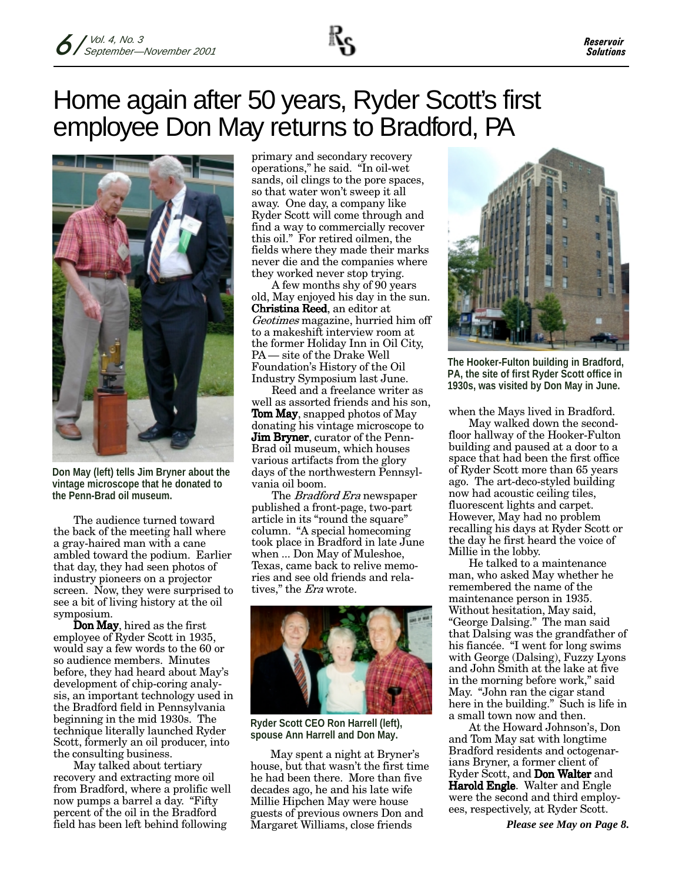# Home again after 50 years, Ryder Scott's first employee Don May returns to Bradford, PA



**Don May (left) tells Jim Bryner about the vintage microscope that he donated to the Penn-Brad oil museum.**

The audience turned toward the back of the meeting hall where a gray-haired man with a cane ambled toward the podium. Earlier that day, they had seen photos of industry pioneers on a projector screen. Now, they were surprised to see a bit of living history at the oil symposium.

**Don May**, hired as the first employee of Ryder Scott in 1935, would say a few words to the 60 or so audience members. Minutes before, they had heard about May's development of chip-coring analysis, an important technology used in the Bradford field in Pennsylvania beginning in the mid 1930s. The technique literally launched Ryder Scott, formerly an oil producer, into the consulting business.

May talked about tertiary recovery and extracting more oil from Bradford, where a prolific well now pumps a barrel a day. "Fifty percent of the oil in the Bradford field has been left behind following

primary and secondary recovery operations," he said. "In oil-wet sands, oil clings to the pore spaces, so that water won't sweep it all away. One day, a company like Ryder Scott will come through and find a way to commercially recover this oil." For retired oilmen, the fields where they made their marks never die and the companies where they worked never stop trying.

A few months shy of 90 years old, May enjoyed his day in the sun. **Christina Reed**, an editor at Geotimes magazine, hurried him off to a makeshift interview room at the former Holiday Inn in Oil City, PA — site of the Drake Well Foundation's History of the Oil Industry Symposium last June.

Reed and a freelance writer as well as assorted friends and his son,  $\operatorname{Tom}$  May, snapped photos of May donating his vintage microscope to **Jim Bryner**, curator of the Penn-Brad oil museum, which houses various artifacts from the glory days of the northwestern Pennsylvania oil boom.

The *Bradford Era* newspaper published a front-page, two-part article in its "round the square" column. "A special homecoming took place in Bradford in late June when ... Don May of Muleshoe, Texas, came back to relive memories and see old friends and relatives," the *Era* wrote.



**Ryder Scott CEO Ron Harrell (left), spouse Ann Harrell and Don May.**

May spent a night at Bryner's house, but that wasn't the first time he had been there. More than five decades ago, he and his late wife Millie Hipchen May were house guests of previous owners Don and Margaret Williams, close friends



**The Hooker-Fulton building in Bradford, PA, the site of first Ryder Scott office in 1930s, was visited by Don May in June.**

when the Mays lived in Bradford.

May walked down the secondfloor hallway of the Hooker-Fulton building and paused at a door to a space that had been the first office of Ryder Scott more than 65 years ago. The art-deco-styled building now had acoustic ceiling tiles, fluorescent lights and carpet. However, May had no problem recalling his days at Ryder Scott or the day he first heard the voice of Millie in the lobby.

He talked to a maintenance man, who asked May whether he remembered the name of the maintenance person in 1935. Without hesitation, May said, "George Dalsing." The man said that Dalsing was the grandfather of his fiancée. "I went for long swims with George (Dalsing), Fuzzy Lyons and John Smith at the lake at five in the morning before work," said May. "John ran the cigar stand here in the building." Such is life in a small town now and then.

At the Howard Johnson's, Don and Tom May sat with longtime Bradford residents and octogenarians Bryner, a former client of Ryder Scott, and **Don Walter** and **Harold Engle**. Walter and Engle were the second and third employees, respectively, at Ryder Scott.

*Please see May on Page 8.*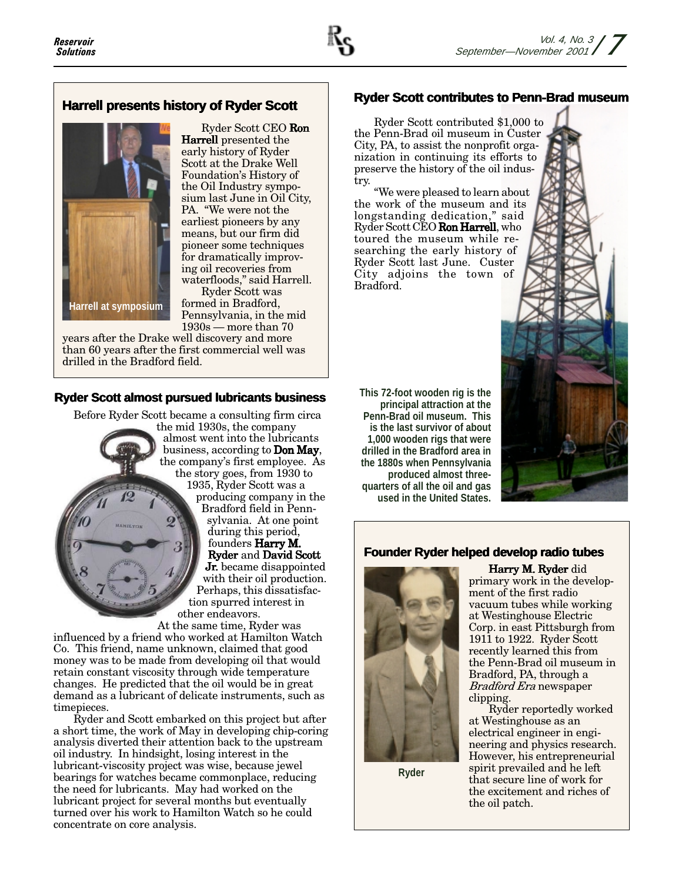### **Harrell presents history of Ryder Scott**



Ryder Scott CEO **Ron Harrell** presented the early history of Ryder Scott at the Drake Well Foundation's History of the Oil Industry symposium last June in Oil City, PA. "We were not the earliest pioneers by any means, but our firm did pioneer some techniques for dramatically improving oil recoveries from waterfloods," said Harrell.

Ryder Scott was formed in Bradford, Pennsylvania, in the mid  $1930s$  — more than 70

years after the Drake well discovery and more than 60 years after the first commercial well was drilled in the Bradford field.

### **Ryder Scott almost pursued lubricants business**

Before Ryder Scott became a consulting firm circa

the mid 1930s, the company almost went into the lubricants business, according to **Don May**, the company's first employee. As the story goes, from 1930 to 1935, Ryder Scott was a producing company in the Bradford field in Pennsylvania. At one point during this period, founders **Harry M.** Ryder and David Scott **Jr.** became disappointed with their oil production. Perhaps, this dissatisfaction spurred interest in other endeavors.

At the same time, Ryder was influenced by a friend who worked at Hamilton Watch Co. This friend, name unknown, claimed that good money was to be made from developing oil that would retain constant viscosity through wide temperature changes. He predicted that the oil would be in great demand as a lubricant of delicate instruments, such as timepieces.

Ryder and Scott embarked on this project but after a short time, the work of May in developing chip-coring analysis diverted their attention back to the upstream oil industry. In hindsight, losing interest in the lubricant-viscosity project was wise, because jewel bearings for watches became commonplace, reducing the need for lubricants. May had worked on the lubricant project for several months but eventually turned over his work to Hamilton Watch so he could concentrate on core analysis.

### **Ryder Scott contributes to Penn-Brad museum**

Ryder Scott contributed \$1,000 to the Penn-Brad oil museum in Custer City, PA, to assist the nonprofit organization in continuing its efforts to preserve the history of the oil industry.

"We were pleased to learn about the work of the museum and its longstanding dedication," said Ryder Scott CEO **Ron Harrell**, who toured the museum while researching the early history of Ryder Scott last June. Custer City adjoins the town of Bradford.

**This 72-foot wooden rig is the principal attraction at the Penn-Brad oil museum. This is the last survivor of about 1,000 wooden rigs that were drilled in the Bradford area in the 1880s when Pennsylvania produced almost threequarters of all the oil and gas used in the United States.**



### **Founder Ryder helped develop radio tubes**



**Ryder**

**Harry M. Ryder** did primary work in the development of the first radio vacuum tubes while working at Westinghouse Electric Corp. in east Pittsburgh from 1911 to 1922. Ryder Scott recently learned this from the Penn-Brad oil museum in Bradford, PA, through a Bradford Era newspaper clipping.

Ryder reportedly worked at Westinghouse as an electrical engineer in engineering and physics research. However, his entrepreneurial spirit prevailed and he left that secure line of work for the excitement and riches of the oil patch.